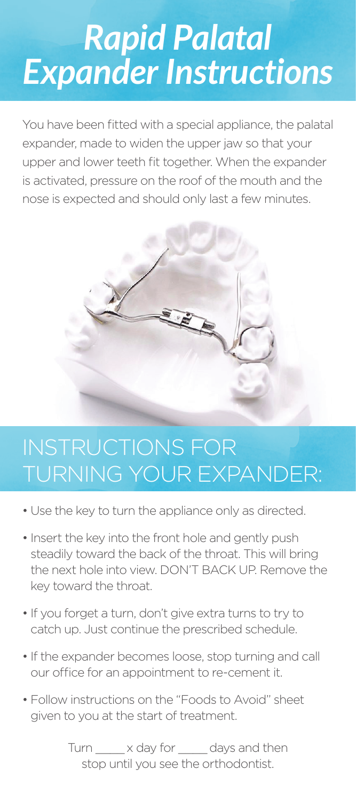# *Rapid Palatal Expander Instructions*

You have been fitted with a special appliance, the palatal expander, made to widen the upper jaw so that your upper and lower teeth fit together. When the expander is activated, pressure on the roof of the mouth and the nose is expected and should only last a few minutes.



## INSTRUCTIONS FOR TURNING YOUR EXPANDER:

- Use the key to turn the appliance only as directed.
- Insert the key into the front hole and gently push steadily toward the back of the throat. This will bring the next hole into view. DON'T BACK UP. Remove the key toward the throat.
- If you forget a turn, don't give extra turns to try to catch up. Just continue the prescribed schedule.
- If the expander becomes loose, stop turning and call our office for an appointment to re-cement it.
- Follow instructions on the "Foods to Avoid" sheet given to you at the start of treatment.

Turn  $\rightarrow$  x day for days and then stop until you see the orthodontist.